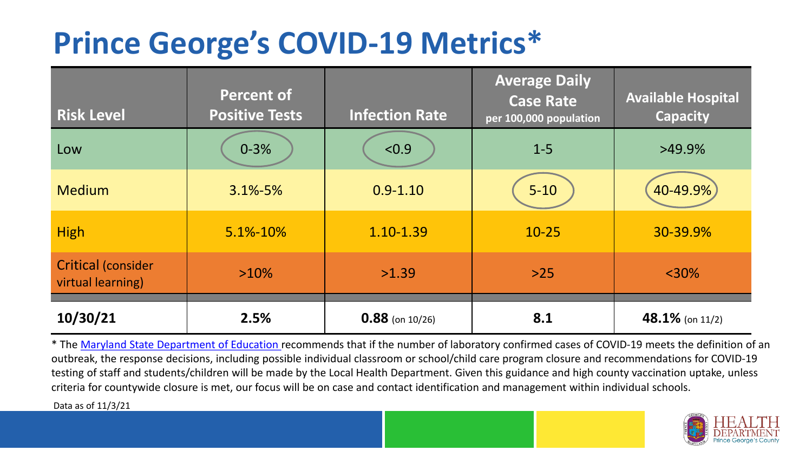## **Prince George's COVID-19 Metrics\***

| <b>Risk Level</b>                              | <b>Percent of</b><br><b>Positive Tests</b> | <b>Infection Rate</b> | <b>Average Daily</b><br><b>Case Rate</b><br>per 100,000 population | <b>Available Hospital</b><br><b>Capacity</b> |
|------------------------------------------------|--------------------------------------------|-----------------------|--------------------------------------------------------------------|----------------------------------------------|
| Low                                            | $0 - 3%$                                   | < 0.9                 | $1 - 5$                                                            | $>49.9\%$                                    |
| <b>Medium</b>                                  | $3.1\% - 5\%$                              | $0.9 - 1.10$          | $5 - 10$                                                           | 40-49.9%                                     |
| <b>High</b>                                    | 5.1%-10%                                   | 1.10-1.39             | $10 - 25$                                                          | 30-39.9%                                     |
| <b>Critical (consider</b><br>virtual learning) | $>10\%$                                    | >1.39                 | $>25$                                                              | $<$ 30%                                      |
| 10/30/21                                       | 2.5%                                       | $0.88$ (on 10/26)     | 8.1                                                                | 48.1% (on $11/2$ )                           |

\* The [Maryland State Department of Education r](https://earlychildhood.marylandpublicschools.org/system/files/filedepot/3/covid_guidance_full_080420.pdf)ecommends that if the number of laboratory confirmed cases of COVID-19 meets the definition of an outbreak, the response decisions, including possible individual classroom or school/child care program closure and recommendations for COVID-19 testing of staff and students/children will be made by the Local Health Department. Given this guidance and high county vaccination uptake, unless criteria for countywide closure is met, our focus will be on case and contact identification and management within individual schools.

Data as of 11/3/21

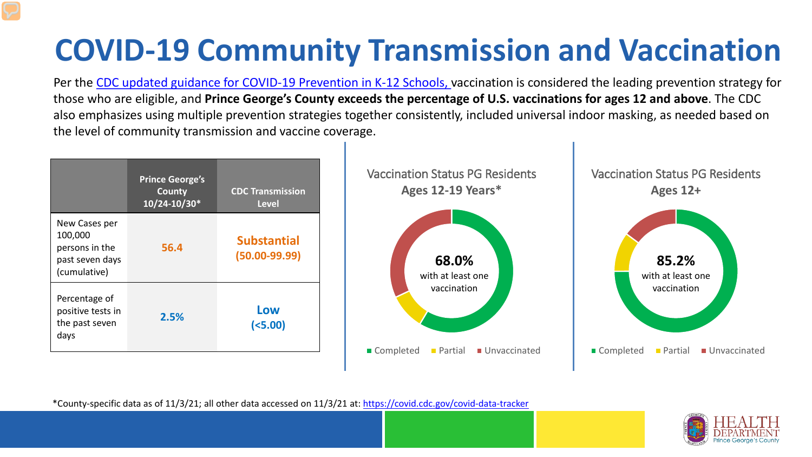# **COVID-19 Community Transmission and Vaccination**

Per the [CDC updated guidance for COVID-19 Prevention in K-12 Schools,](https://www.cdc.gov/coronavirus/2019-ncov/community/schools-childcare/k-12-guidance.html) vaccination is considered the leading prevention strategy for those who are eligible, and **Prince George's County exceeds the percentage of U.S. vaccinations for ages 12 and above**. The CDC also emphasizes using multiple prevention strategies together consistently, included universal indoor masking, as needed based on the level of community transmission and vaccine coverage.



\*County-specific data as of 11/3/21; all other data accessed on 11/3/21 at:<https://covid.cdc.gov/covid-data-tracker>

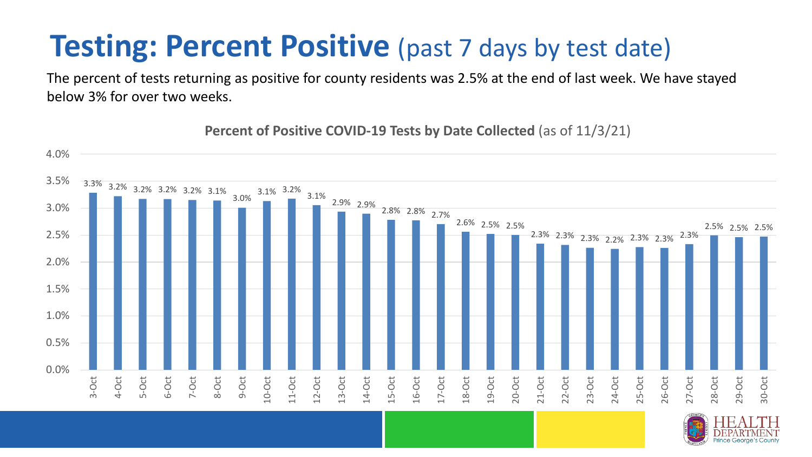### **Testing: Percent Positive** (past 7 days by test date)

The percent of tests returning as positive for county residents was 2.5% at the end of last week. We have stayed below 3% for over two weeks.

3.3% 3.2% 3.2% 3.2% 3.2% 3.1% 3.0% 3.1% 3.2% 3.1% 2.9% 2.9% 2.8% 2.8% 2.7% 2.6% 2.5% 2.5% 2.3% 2.3% 2.3% 2.2% 2.3% 2.3% 2.3% 2.5% 2.5% 2.5% 0.0% 0.5% 1.0% 1.5% 2.0% 2.5% 3.0% 3.5% 4.0% 3-Oct 4-Oct 5-Oct 6-Oct 7-Oct 8-Oct 9-Oct 10-Oct 11-Oct 12-Oct 13-Oct 14-Oct 15-Oct 16-Oct 17-Oct 18-Oct 19-Oct 20-Oct 21-Oct 22-Oct 23-Oct 24-Oct 25-Oct 26-Oct 27-Oct 28-Oct 29-Oct 30-Oct

**Percent of Positive COVID-19 Tests by Date Collected** (as of 11/3/21)

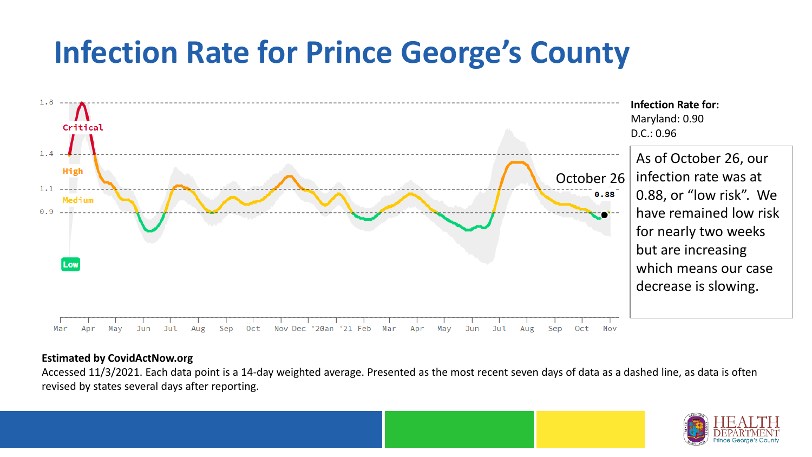## **Infection Rate for Prince George's County**



#### **Estimated by CovidActNow.org**

Accessed 11/3/2021. Each data point is a 14-day weighted average. Presented as the most recent seven days of data as a dashed line, as data is often revised by states several days after reporting.

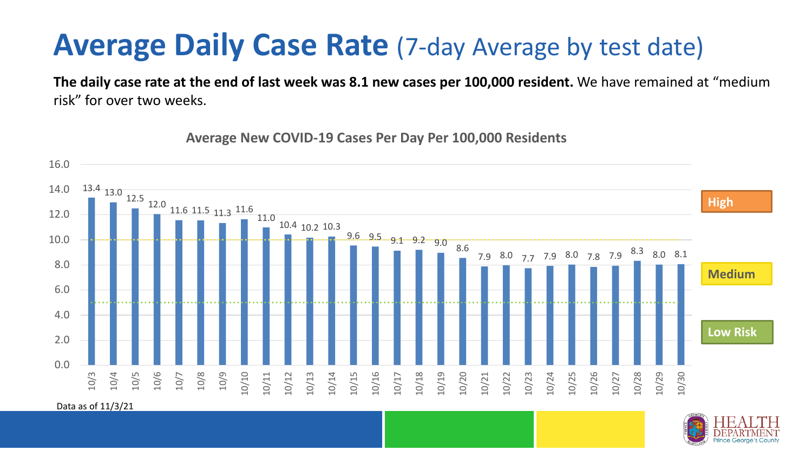#### **Average Daily Case Rate** (7-day Average by test date)

**The daily case rate at the end of last week was 8.1 new cases per 100,000 resident.** We have remained at "medium risk" for over two weeks.

13.4 13.0 12.5 12.0 11.6 11.5 11.3 11.6 11.0 10.4 10.2 10.3  $9.6 \t . 9.5 \t . 9.1 \t . 9.2 \t . 9.0 \t . 8.6$ 7.9 8.0 7.7 7.9 8.0 7.8 7.9 8.3 8.0 8.1 0.0 2.0 4.0 6.0 8.0 10.0 12.0 14.0 16.0 10/3 10/4 10/5 10/6 10/7 10/8 10/9 10/10 10/11 10/12 10/13 10/14 10/15 10/16 10/17 10/18 10/19 10/20 10/21 10/22 10/23 10/24 10/25 10/26 10/27 10/28 10/29 10/30 **Low Risk Medium High**

**Average New COVID-19 Cases Per Day Per 100,000 Residents**

Data as of 11/3/21